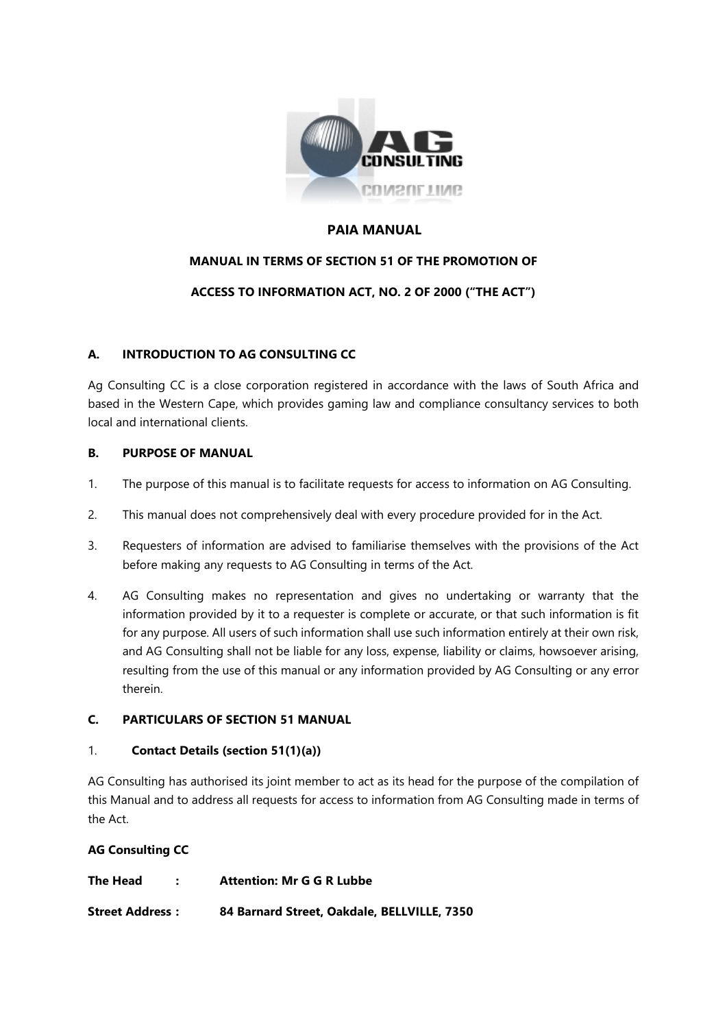

### **PAIA MANUAL**

# **MANUAL IN TERMS OF SECTION 51 OF THE PROMOTION OF**

# **ACCESS TO INFORMATION ACT, NO. 2 OF 2000 ("THE ACT")**

# **A. INTRODUCTION TO AG CONSULTING CC**

Ag Consulting CC is a close corporation registered in accordance with the laws of South Africa and based in the Western Cape, which provides gaming law and compliance consultancy services to both local and international clients.

### **B. PURPOSE OF MANUAL**

- 1. The purpose of this manual is to facilitate requests for access to information on AG Consulting.
- 2. This manual does not comprehensively deal with every procedure provided for in the Act.
- 3. Requesters of information are advised to familiarise themselves with the provisions of the Act before making any requests to AG Consulting in terms of the Act.
- 4. AG Consulting makes no representation and gives no undertaking or warranty that the information provided by it to a requester is complete or accurate, or that such information is fit for any purpose. All users of such information shall use such information entirely at their own risk, and AG Consulting shall not be liable for any loss, expense, liability or claims, howsoever arising, resulting from the use of this manual or any information provided by AG Consulting or any error therein.

# **C. PARTICULARS OF SECTION 51 MANUAL**

#### 1. **Contact Details (section 51(1)(a))**

AG Consulting has authorised its joint member to act as its head for the purpose of the compilation of this Manual and to address all requests for access to information from AG Consulting made in terms of the Act.

# **AG Consulting CC**

| The Head               | <b>Attention: Mr G G R Lubbe</b>            |
|------------------------|---------------------------------------------|
| <b>Street Address:</b> | 84 Barnard Street, Oakdale, BELLVILLE, 7350 |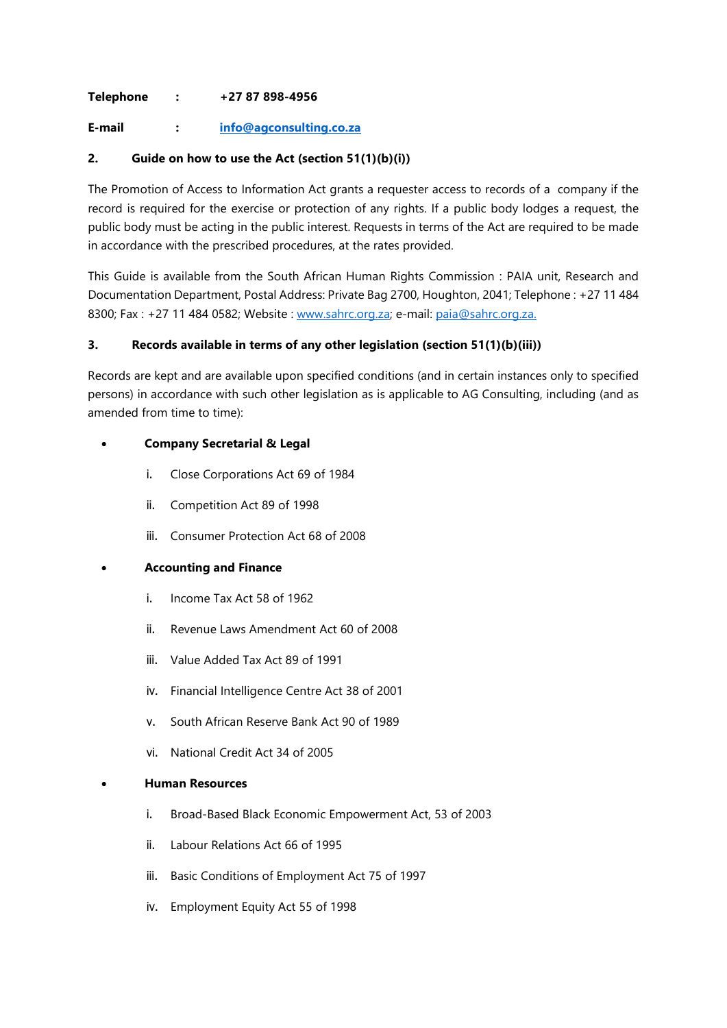### **Telephone : +27 87 898-4956**

**E-mail : [info@agconsulting.co.za](mailto:info@agconsulting.co.za)**

### **2. Guide on how to use the Act (section 51(1)(b)(i))**

The Promotion of Access to Information Act grants a requester access to records of a company if the record is required for the exercise or protection of any rights. If a public body lodges a request, the public body must be acting in the public interest. Requests in terms of the Act are required to be made in accordance with the prescribed procedures, at the rates provided.

This Guide is available from the South African Human Rights Commission : PAIA unit, Research and Documentation Department, Postal Address: Private Bag 2700, Houghton, 2041; Telephone : +27 11 484 8300; Fax : +27 11 484 0582; Website : [www.sahrc.org.za;](http://www.sahrc.org.za/) e-mail: [paia@sahrc.org.za.](mailto:paia@sahrc.org.za)

### **3. Records available in terms of any other legislation (section 51(1)(b)(iii))**

Records are kept and are available upon specified conditions (and in certain instances only to specified persons) in accordance with such other legislation as is applicable to AG Consulting, including (and as amended from time to time):

# • **Company Secretarial & Legal**

- i. Close Corporations Act 69 of 1984
- ii. Competition Act 89 of 1998
- iii. Consumer Protection Act 68 of 2008

### • **Accounting and Finance**

- i. Income Tax Act 58 of 1962
- ii. Revenue Laws Amendment Act 60 of 2008
- iii. Value Added Tax Act 89 of 1991
- iv. Financial Intelligence Centre Act 38 of 2001
- v. South African Reserve Bank Act 90 of 1989
- vi. National Credit Act 34 of 2005

#### • **Human Resources**

- i. Broad-Based Black Economic Empowerment Act, 53 of 2003
- ii. Labour Relations Act 66 of 1995
- iii. Basic Conditions of Employment Act 75 of 1997
- iv. Employment Equity Act 55 of 1998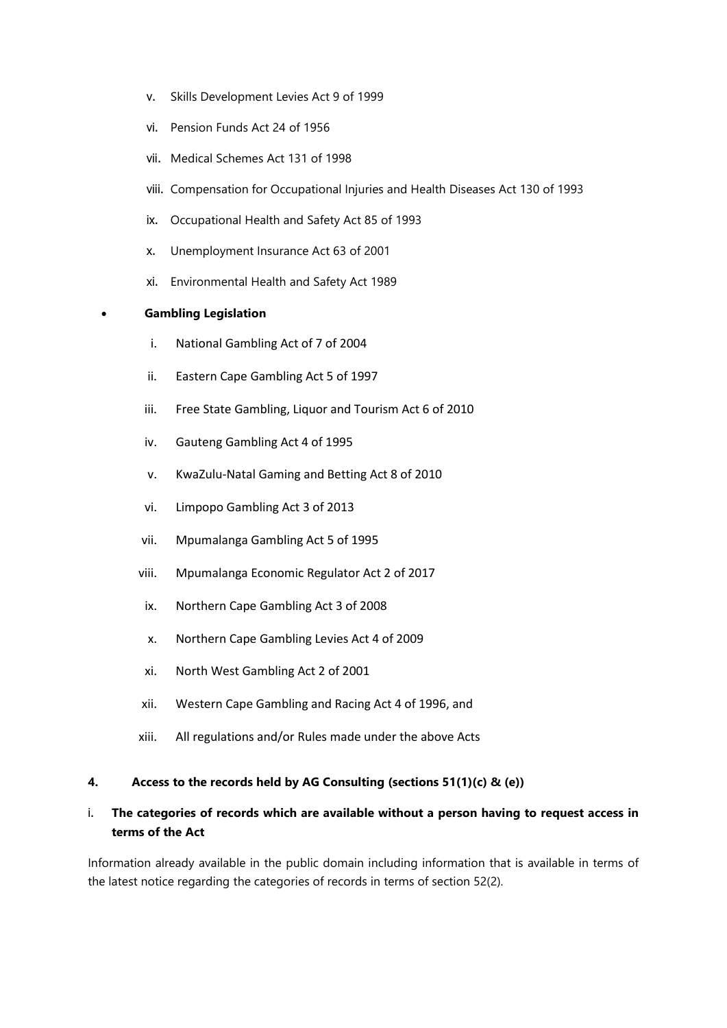- v. Skills Development Levies Act 9 of 1999
- vi. Pension Funds Act 24 of 1956
- vii. Medical Schemes Act 131 of 1998
- viii. Compensation for Occupational Injuries and Health Diseases Act 130 of 1993
- ix. Occupational Health and Safety Act 85 of 1993
- x. Unemployment Insurance Act 63 of 2001
- xi. Environmental Health and Safety Act 1989

#### • **Gambling Legislation**

- i. National Gambling Act of 7 of 2004
- ii. Eastern Cape Gambling Act 5 of 1997
- iii. Free State Gambling, Liquor and Tourism Act 6 of 2010
- iv. Gauteng Gambling Act 4 of 1995
- v. KwaZulu-Natal Gaming and Betting Act 8 of 2010
- vi. Limpopo Gambling Act 3 of 2013
- vii. Mpumalanga Gambling Act 5 of 1995
- viii. Mpumalanga Economic Regulator Act 2 of 2017
- ix. Northern Cape Gambling Act 3 of 2008
- x. Northern Cape Gambling Levies Act 4 of 2009
- xi. North West Gambling Act 2 of 2001
- xii. Western Cape Gambling and Racing Act 4 of 1996, and
- xiii. All regulations and/or Rules made under the above Acts

#### **4. Access to the records held by AG Consulting (sections 51(1)(c) & (e))**

# i. **The categories of records which are available without a person having to request access in terms of the Act**

Information already available in the public domain including information that is available in terms of the latest notice regarding the categories of records in terms of section 52(2).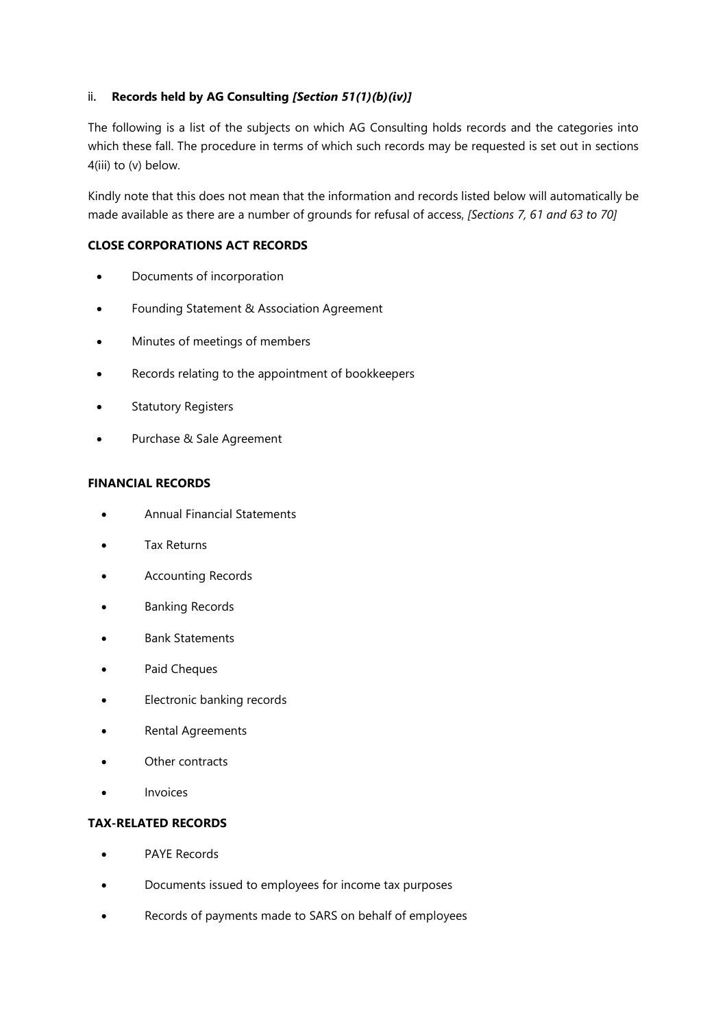### ii. **Records held by AG Consulting** *[Section 51(1)(b)(iv)]*

The following is a list of the subjects on which AG Consulting holds records and the categories into which these fall. The procedure in terms of which such records may be requested is set out in sections 4(iii) to (v) below.

Kindly note that this does not mean that the information and records listed below will automatically be made available as there are a number of grounds for refusal of access, *[Sections 7, 61 and 63 to 70]*

### **CLOSE CORPORATIONS ACT RECORDS**

- Documents of incorporation
- Founding Statement & Association Agreement
- Minutes of meetings of members
- Records relating to the appointment of bookkeepers
- **Statutory Registers**
- Purchase & Sale Agreement

#### **FINANCIAL RECORDS**

- Annual Financial Statements
- Tax Returns
- Accounting Records
- Banking Records
- Bank Statements
- Paid Cheques
- Electronic banking records
- Rental Agreements
- Other contracts
- **Invoices**

# **TAX-RELATED RECORDS**

- PAYE Records
- Documents issued to employees for income tax purposes
- Records of payments made to SARS on behalf of employees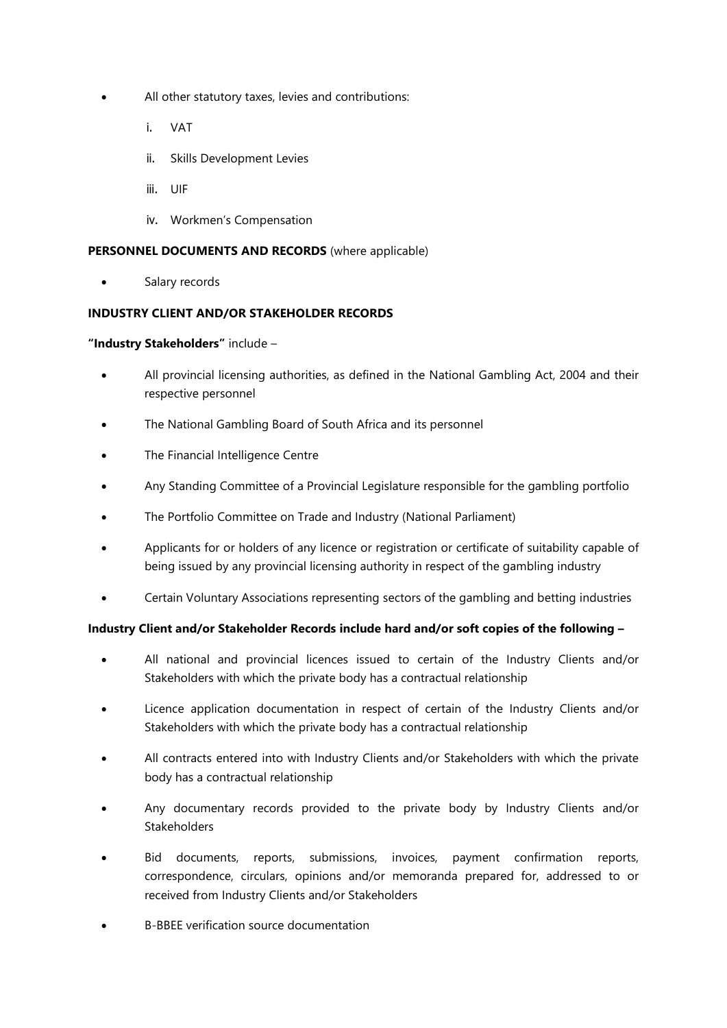- All other statutory taxes, levies and contributions:
	- i. VAT
	- ii. Skills Development Levies
	- iii. UIF
	- iv. Workmen's Compensation

### **PERSONNEL DOCUMENTS AND RECORDS** (where applicable)

• Salary records

### **INDUSTRY CLIENT AND/OR STAKEHOLDER RECORDS**

#### **"Industry Stakeholders"** include –

- All provincial licensing authorities, as defined in the National Gambling Act, 2004 and their respective personnel
- The National Gambling Board of South Africa and its personnel
- The Financial Intelligence Centre
- Any Standing Committee of a Provincial Legislature responsible for the gambling portfolio
- The Portfolio Committee on Trade and Industry (National Parliament)
- Applicants for or holders of any licence or registration or certificate of suitability capable of being issued by any provincial licensing authority in respect of the gambling industry
- Certain Voluntary Associations representing sectors of the gambling and betting industries

### **Industry Client and/or Stakeholder Records include hard and/or soft copies of the following –**

- All national and provincial licences issued to certain of the Industry Clients and/or Stakeholders with which the private body has a contractual relationship
- Licence application documentation in respect of certain of the Industry Clients and/or Stakeholders with which the private body has a contractual relationship
- All contracts entered into with Industry Clients and/or Stakeholders with which the private body has a contractual relationship
- Any documentary records provided to the private body by Industry Clients and/or **Stakeholders**
- Bid documents, reports, submissions, invoices, payment confirmation reports, correspondence, circulars, opinions and/or memoranda prepared for, addressed to or received from Industry Clients and/or Stakeholders
- B-BBEE verification source documentation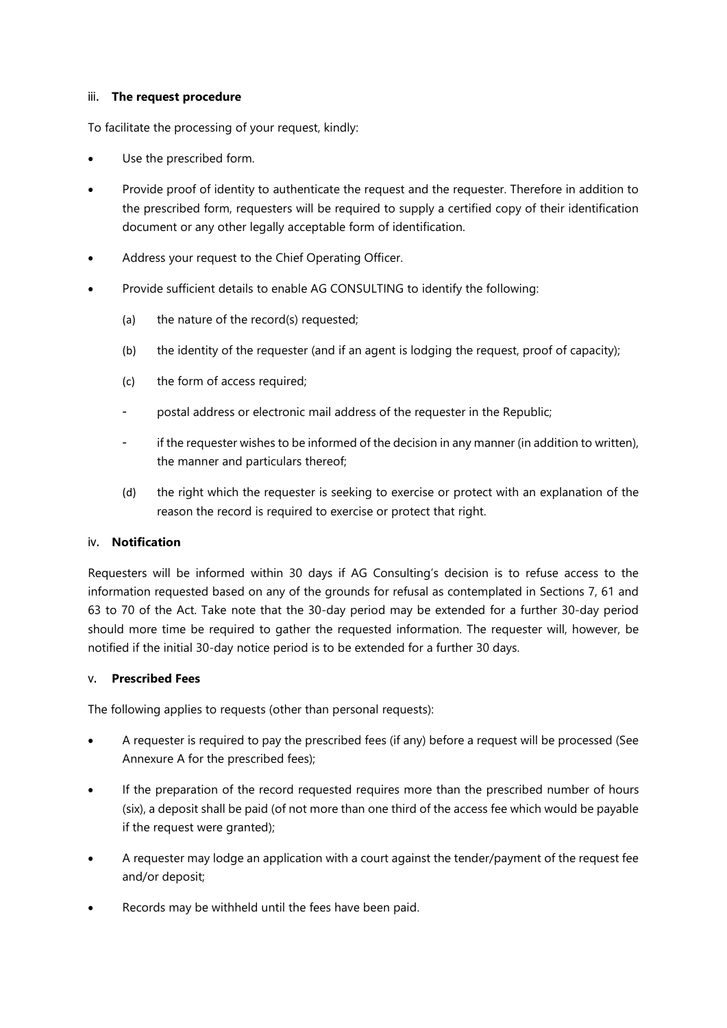### iii. **The request procedure**

To facilitate the processing of your request, kindly:

- Use the prescribed form.
- Provide proof of identity to authenticate the request and the requester. Therefore in addition to the prescribed form, requesters will be required to supply a certified copy of their identification document or any other legally acceptable form of identification.
- Address your request to the Chief Operating Officer.
- Provide sufficient details to enable AG CONSULTING to identify the following:
	- (a) the nature of the record(s) requested;
	- (b) the identity of the requester (and if an agent is lodging the request, proof of capacity);
	- (c) the form of access required;
	- postal address or electronic mail address of the requester in the Republic;
	- if the requester wishes to be informed of the decision in any manner (in addition to written), the manner and particulars thereof;
	- (d) the right which the requester is seeking to exercise or protect with an explanation of the reason the record is required to exercise or protect that right.

#### iv. **Notification**

Requesters will be informed within 30 days if AG Consulting's decision is to refuse access to the information requested based on any of the grounds for refusal as contemplated in Sections 7, 61 and 63 to 70 of the Act. Take note that the 30-day period may be extended for a further 30-day period should more time be required to gather the requested information. The requester will, however, be notified if the initial 30-day notice period is to be extended for a further 30 days.

#### v. **Prescribed Fees**

The following applies to requests (other than personal requests):

- A requester is required to pay the prescribed fees (if any) before a request will be processed (See Annexure A for the prescribed fees);
- If the preparation of the record requested requires more than the prescribed number of hours (six), a deposit shall be paid (of not more than one third of the access fee which would be payable if the request were granted);
- A requester may lodge an application with a court against the tender/payment of the request fee and/or deposit;
- Records may be withheld until the fees have been paid.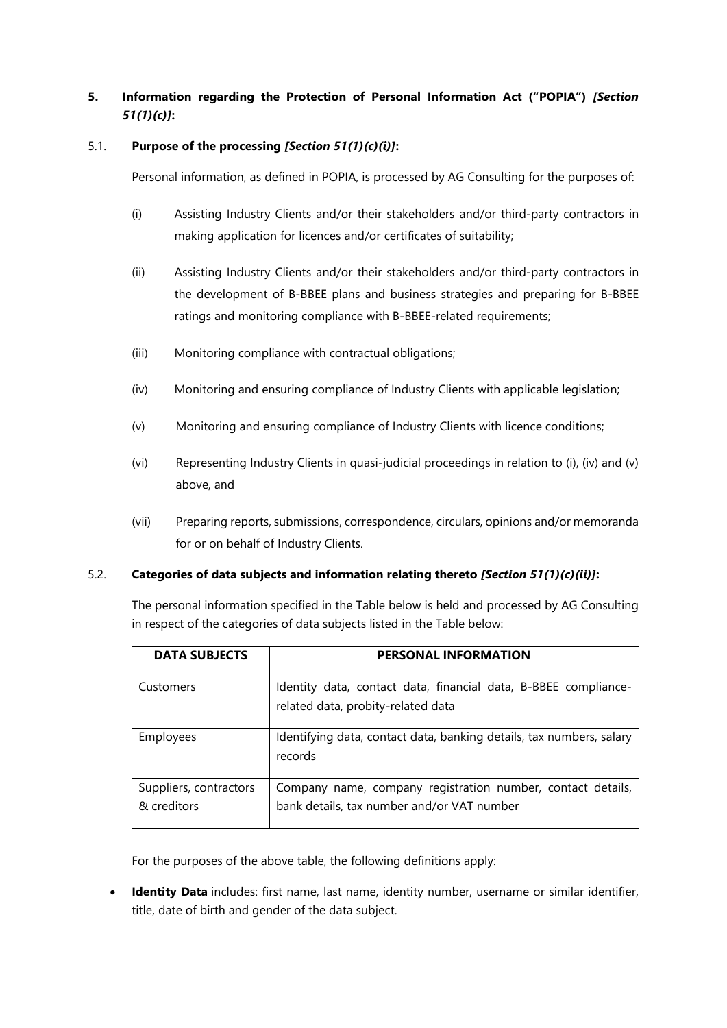# **5. Information regarding the Protection of Personal Information Act ("POPIA")** *[Section 51(1)(c)]***:**

### 5.1. **Purpose of the processing** *[Section 51(1)(c)(i)]***:**

Personal information, as defined in POPIA, is processed by AG Consulting for the purposes of:

- (i) Assisting Industry Clients and/or their stakeholders and/or third-party contractors in making application for licences and/or certificates of suitability;
- (ii) Assisting Industry Clients and/or their stakeholders and/or third-party contractors in the development of B-BBEE plans and business strategies and preparing for B-BBEE ratings and monitoring compliance with B-BBEE-related requirements;
- (iii) Monitoring compliance with contractual obligations;
- (iv) Monitoring and ensuring compliance of Industry Clients with applicable legislation;
- (v) Monitoring and ensuring compliance of Industry Clients with licence conditions;
- (vi) Representing Industry Clients in quasi-judicial proceedings in relation to (i), (iv) and (v) above, and
- (vii) Preparing reports, submissions, correspondence, circulars, opinions and/or memoranda for or on behalf of Industry Clients.

#### 5.2. **Categories of data subjects and information relating thereto** *[Section 51(1)(c)(ii)]***:**

The personal information specified in the Table below is held and processed by AG Consulting in respect of the categories of data subjects listed in the Table below:

| <b>DATA SUBJECTS</b>                  | <b>PERSONAL INFORMATION</b>                                                                               |
|---------------------------------------|-----------------------------------------------------------------------------------------------------------|
| Customers                             | Identity data, contact data, financial data, B-BBEE compliance-<br>related data, probity-related data     |
| Employees                             | Identifying data, contact data, banking details, tax numbers, salary<br>records                           |
| Suppliers, contractors<br>& creditors | Company name, company registration number, contact details,<br>bank details, tax number and/or VAT number |

For the purposes of the above table, the following definitions apply:

• **Identity Data** includes: first name, last name, identity number, username or similar identifier, title, date of birth and gender of the data subject.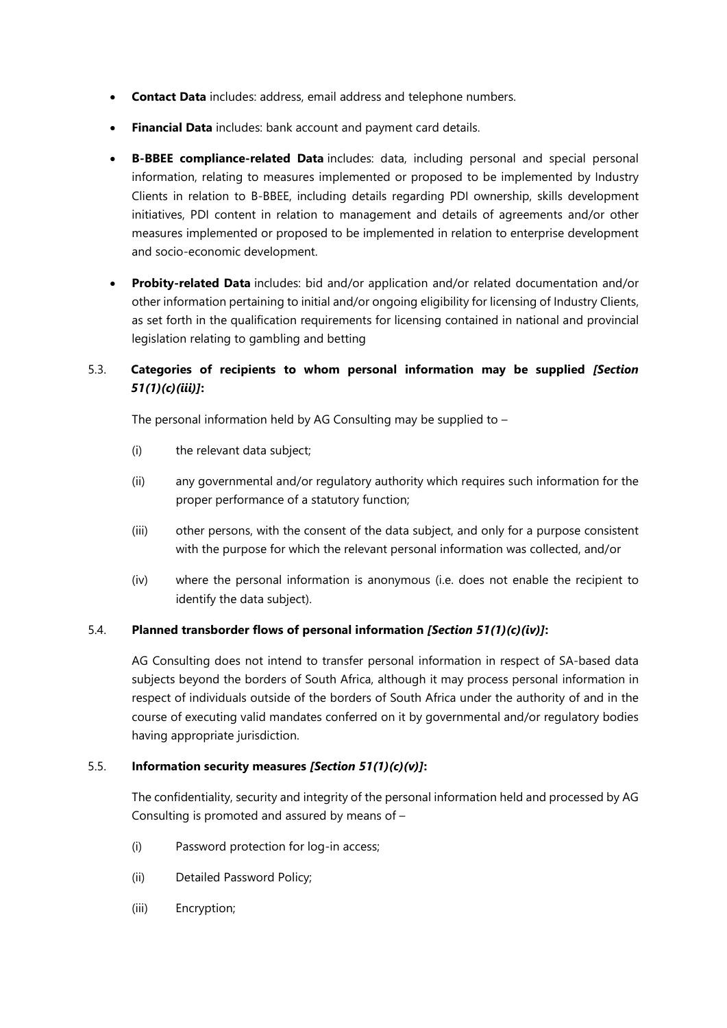- **Contact Data** includes: address, email address and telephone numbers.
- **Financial Data** includes: bank account and payment card details.
- **B-BBEE compliance-related Data** includes: data, including personal and special personal information, relating to measures implemented or proposed to be implemented by Industry Clients in relation to B-BBEE, including details regarding PDI ownership, skills development initiatives, PDI content in relation to management and details of agreements and/or other measures implemented or proposed to be implemented in relation to enterprise development and socio-economic development.
- **Probity-related Data** includes: bid and/or application and/or related documentation and/or other information pertaining to initial and/or ongoing eligibility for licensing of Industry Clients, as set forth in the qualification requirements for licensing contained in national and provincial legislation relating to gambling and betting

# 5.3. **Categories of recipients to whom personal information may be supplied** *[Section 51(1)(c)(iii)]***:**

The personal information held by AG Consulting may be supplied to –

- (i) the relevant data subject;
- (ii) any governmental and/or regulatory authority which requires such information for the proper performance of a statutory function;
- (iii) other persons, with the consent of the data subject, and only for a purpose consistent with the purpose for which the relevant personal information was collected, and/or
- (iv) where the personal information is anonymous (i.e. does not enable the recipient to identify the data subject).

# 5.4. **Planned transborder flows of personal information** *[Section 51(1)(c)(iv)]***:**

AG Consulting does not intend to transfer personal information in respect of SA-based data subjects beyond the borders of South Africa, although it may process personal information in respect of individuals outside of the borders of South Africa under the authority of and in the course of executing valid mandates conferred on it by governmental and/or regulatory bodies having appropriate jurisdiction.

# 5.5. **Information security measures** *[Section 51(1)(c)(v)]***:**

The confidentiality, security and integrity of the personal information held and processed by AG Consulting is promoted and assured by means of –

- (i) Password protection for log-in access;
- (ii) Detailed Password Policy;
- (iii) Encryption;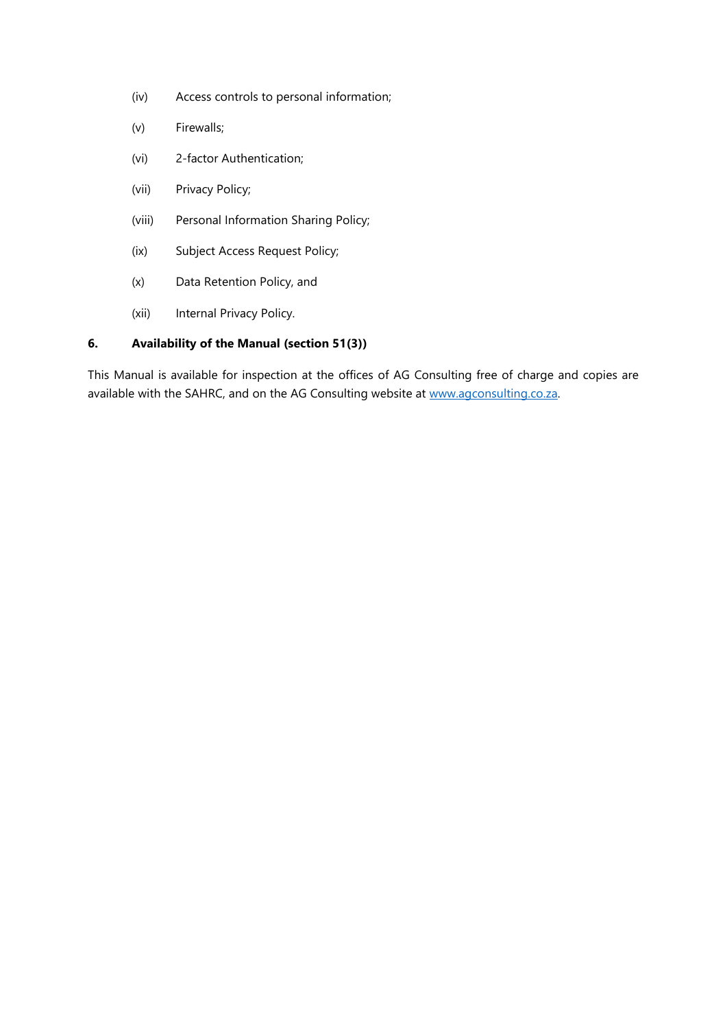- (iv) Access controls to personal information;
- (v) Firewalls;
- (vi) 2-factor Authentication;
- (vii) Privacy Policy;
- (viii) Personal Information Sharing Policy;
- (ix) Subject Access Request Policy;
- (x) Data Retention Policy, and
- (xii) Internal Privacy Policy.

# **6. Availability of the Manual (section 51(3))**

This Manual is available for inspection at the offices of AG Consulting free of charge and copies are available with the SAHRC, and on the AG Consulting website at [www.agconsulting.co.za.](http://www.agconsulting.co.za/)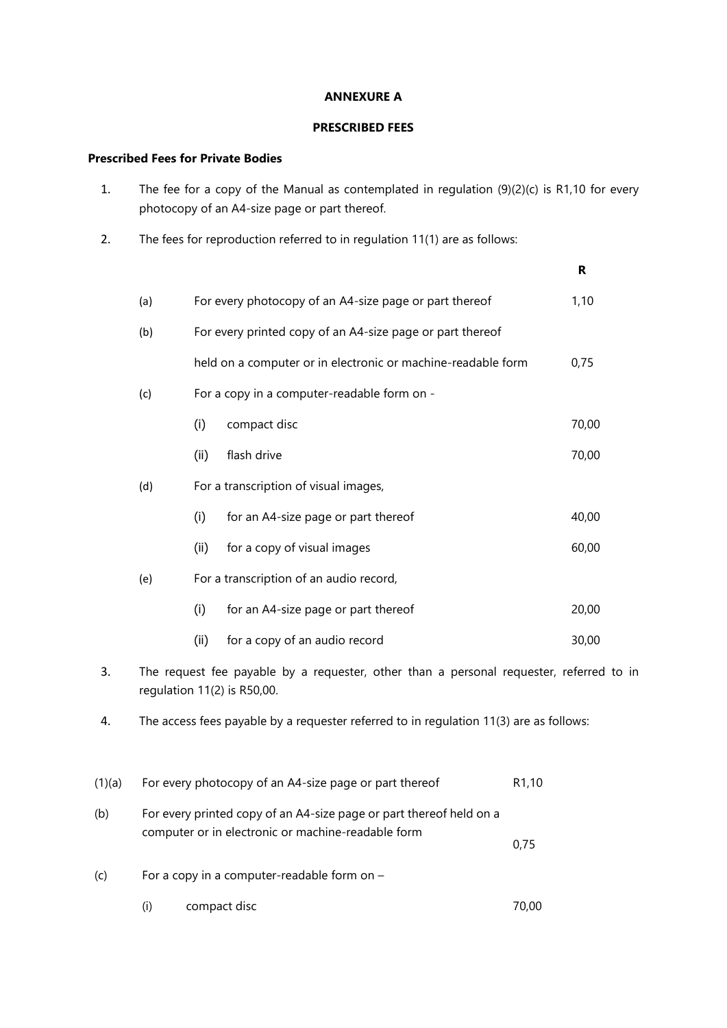#### **ANNEXURE A**

### **PRESCRIBED FEES**

### **Prescribed Fees for Private Bodies**

- 1. The fee for a copy of the Manual as contemplated in regulation (9)(2)(c) is R1,10 for every photocopy of an A4-size page or part thereof.
- 2. The fees for reproduction referred to in regulation 11(1) are as follows:

|        |     |      |                                                                                                                        | R     |
|--------|-----|------|------------------------------------------------------------------------------------------------------------------------|-------|
|        | (a) |      | For every photocopy of an A4-size page or part thereof                                                                 | 1,10  |
|        | (b) |      | For every printed copy of an A4-size page or part thereof                                                              |       |
|        |     |      | held on a computer or in electronic or machine-readable form                                                           | 0,75  |
|        | (c) |      | For a copy in a computer-readable form on -                                                                            |       |
|        |     | (i)  | compact disc                                                                                                           | 70,00 |
|        |     | (ii) | flash drive                                                                                                            | 70,00 |
|        | (d) |      | For a transcription of visual images,                                                                                  |       |
|        |     | (i)  | for an A4-size page or part thereof                                                                                    | 40,00 |
|        |     | (ii) | for a copy of visual images                                                                                            | 60,00 |
|        | (e) |      | For a transcription of an audio record,                                                                                |       |
|        |     | (i)  | for an A4-size page or part thereof                                                                                    | 20,00 |
|        |     | (ii) | for a copy of an audio record                                                                                          | 30,00 |
| 3.     |     |      | The request fee payable by a requester, other than a personal requester, referred to in<br>regulation 11(2) is R50,00. |       |
| 4.     |     |      | The access fees payable by a requester referred to in regulation 11(3) are as follows:                                 |       |
|        |     |      |                                                                                                                        |       |
| (1)(a) |     |      | For every photocopy of an A4-size page or part thereof<br>R <sub>1</sub> ,10                                           |       |

- (b) For every printed copy of an A4-size page or part thereof held on a computer or in electronic or machine-readable form 0,75
- (c) For a copy in a computer-readable form on  $(i)$  compact disc  $70,00$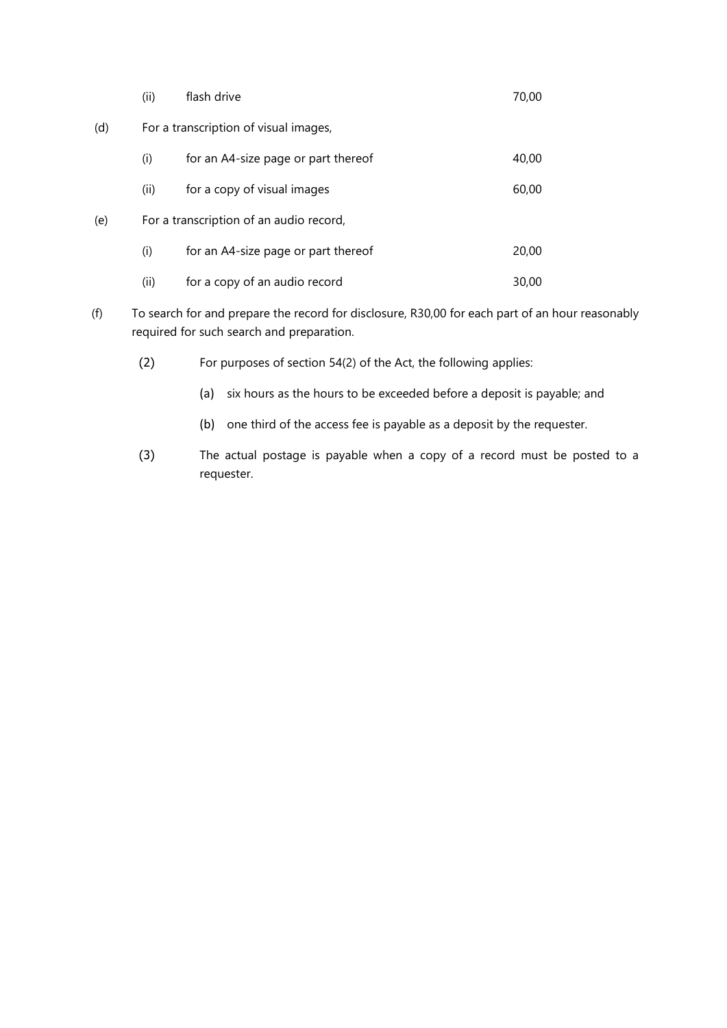|     | (ii) | flash drive                             | 70,00 |
|-----|------|-----------------------------------------|-------|
| (d) |      | For a transcription of visual images,   |       |
|     | (i)  | for an A4-size page or part thereof     | 40,00 |
|     | (ii) | for a copy of visual images             | 60,00 |
| (e) |      | For a transcription of an audio record, |       |
|     | (i)  | for an A4-size page or part thereof     | 20,00 |
|     | (i)  | for a copy of an audio record           | 30,00 |

- (f) To search for and prepare the record for disclosure, R30,00 for each part of an hour reasonably required for such search and preparation.
	- (2) For purposes of section 54(2) of the Act, the following applies:
		- (a) six hours as the hours to be exceeded before a deposit is payable; and
		- (b) one third of the access fee is payable as a deposit by the requester.
	- (3) The actual postage is payable when a copy of a record must be posted to a requester.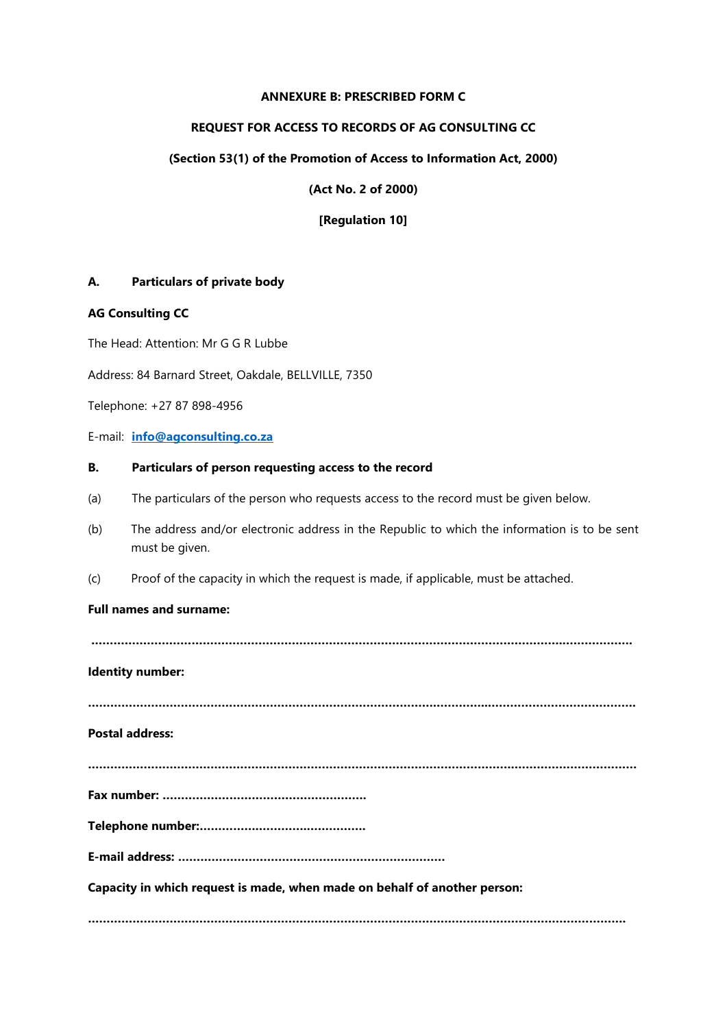#### **ANNEXURE B: PRESCRIBED FORM C**

#### **REQUEST FOR ACCESS TO RECORDS OF AG CONSULTING CC**

#### **(Section 53(1) of the Promotion of Access to Information Act, 2000)**

**(Act No. 2 of 2000)**

**[Regulation 10]**

### **A. Particulars of private body**

#### **AG Consulting CC**

The Head: Attention: Mr G G R Lubbe

Address: 84 Barnard Street, Oakdale, BELLVILLE, 7350

Telephone: +27 87 898-4956

E-mail: **[info@agconsulting.co.za](mailto:info@agconsulting.co.za)**

#### **B. Particulars of person requesting access to the record**

- (a) The particulars of the person who requests access to the record must be given below.
- (b) The address and/or electronic address in the Republic to which the information is to be sent must be given.
- (c) Proof of the capacity in which the request is made, if applicable, must be attached.

#### **Full names and surname:**

**……………………………………………………………………………………………………………….……………….**

#### **Identity number:**

**………………………………………………………………………………….…………..………………………………….**

**Postal address:** 

**…………………………………………………………………………………………………….……………………………**

**Fax number: ……………………………………………….**

**Telephone number:…………….………….…………….** 

**E-mail address: ………………………………………………………………**

**Capacity in which request is made, when made on behalf of another person:**

**……………………………………………………………………………………………………………………………….**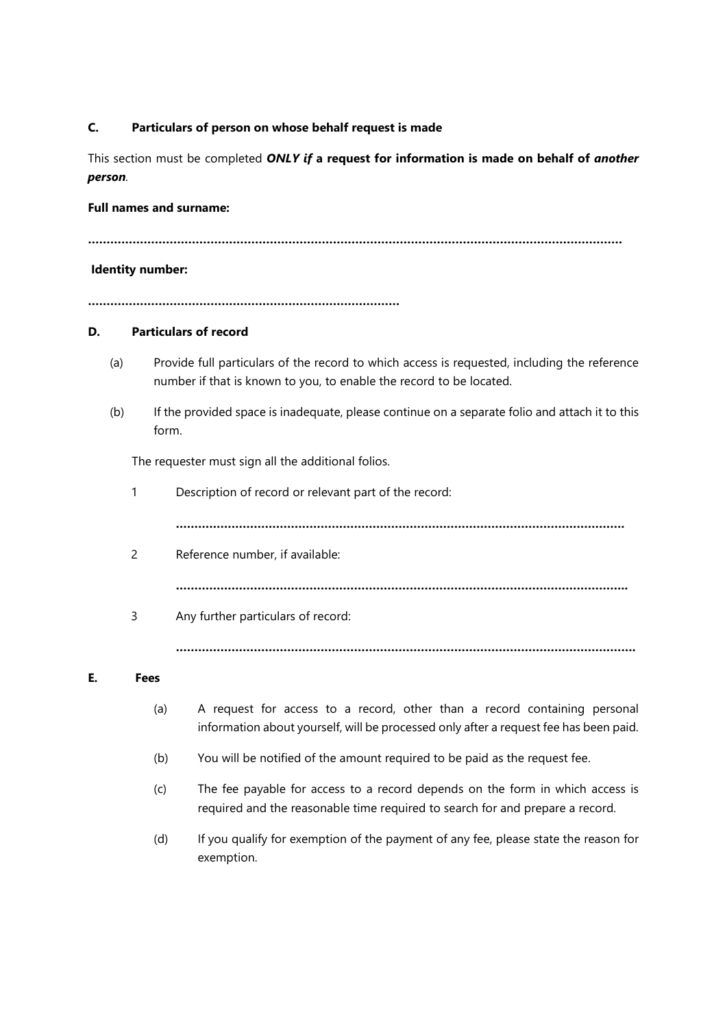### **C. Particulars of person on whose behalf request is made**

This section must be completed *ONLY if* **a request for information is made on behalf of** *another person.*

### **Full names and surname:**

**………………………………………………………………………………………………………………………………**

#### **Identity number:**

**…………………………………………………………………………**

#### **D. Particulars of record**

- (a) Provide full particulars of the record to which access is requested, including the reference number if that is known to you, to enable the record to be located.
- (b) If the provided space is inadequate, please continue on a separate folio and attach it to this form.

The requester must sign all the additional folios.

1 Description of record or relevant part of the record:

**………………………………………………………………………………………………………….**

2 Reference number, if available:

**…………………………………………………………………………………………………………..**

3 Any further particulars of record:

**…………………………………………………………………………………………………………….**

### **E. Fees**

- (a) A request for access to a record, other than a record containing personal information about yourself, will be processed only after a request fee has been paid.
- (b) You will be notified of the amount required to be paid as the request fee.
- (c) The fee payable for access to a record depends on the form in which access is required and the reasonable time required to search for and prepare a record.
- (d) If you qualify for exemption of the payment of any fee, please state the reason for exemption.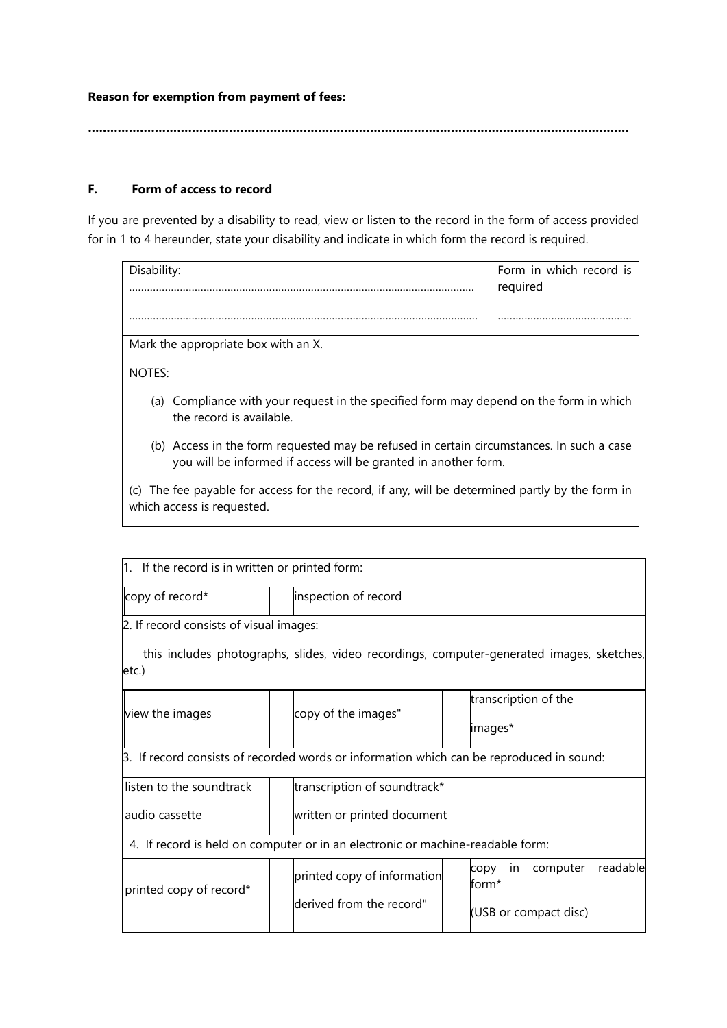**Reason for exemption from payment of fees:** 

**…………………………………………………………………………..……………………………………………………**

# **F. Form of access to record**

If you are prevented by a disability to read, view or listen to the record in the form of access provided for in 1 to 4 hereunder, state your disability and indicate in which form the record is required.

| Disability:                         | Form in which record is<br>required |
|-------------------------------------|-------------------------------------|
|                                     |                                     |
|                                     |                                     |
| Mark the appropriate box with an X. |                                     |

NOTES:

- (a) Compliance with your request in the specified form may depend on the form in which the record is available.
- (b) Access in the form requested may be refused in certain circumstances. In such a case you will be informed if access will be granted in another form.

(c) The fee payable for access for the record, if any, will be determined partly by the form in which access is requested.

| $ 1.$ If the record is in written or printed form:                             |  |                                                                                          |                                 |                                                                                           |  |
|--------------------------------------------------------------------------------|--|------------------------------------------------------------------------------------------|---------------------------------|-------------------------------------------------------------------------------------------|--|
| copy of record*                                                                |  | inspection of record                                                                     |                                 |                                                                                           |  |
| 2. If record consists of visual images:                                        |  |                                                                                          |                                 |                                                                                           |  |
| letc.)                                                                         |  |                                                                                          |                                 | this includes photographs, slides, video recordings, computer-generated images, sketches, |  |
| view the images                                                                |  | copy of the images"                                                                      | transcription of the<br>images* |                                                                                           |  |
|                                                                                |  | 3. If record consists of recorded words or information which can be reproduced in sound: |                                 |                                                                                           |  |
| llisten to the soundtrack                                                      |  | transcription of soundtrack*                                                             |                                 |                                                                                           |  |
| llaudio cassette                                                               |  | written or printed document                                                              |                                 |                                                                                           |  |
| 4. If record is held on computer or in an electronic or machine-readable form: |  |                                                                                          |                                 |                                                                                           |  |
| printed copy of record*                                                        |  | printed copy of information<br>derived from the record"                                  |                                 | readable<br>computer<br>in.<br>copy<br>form*<br>(USB or compact disc)                     |  |
|                                                                                |  |                                                                                          |                                 |                                                                                           |  |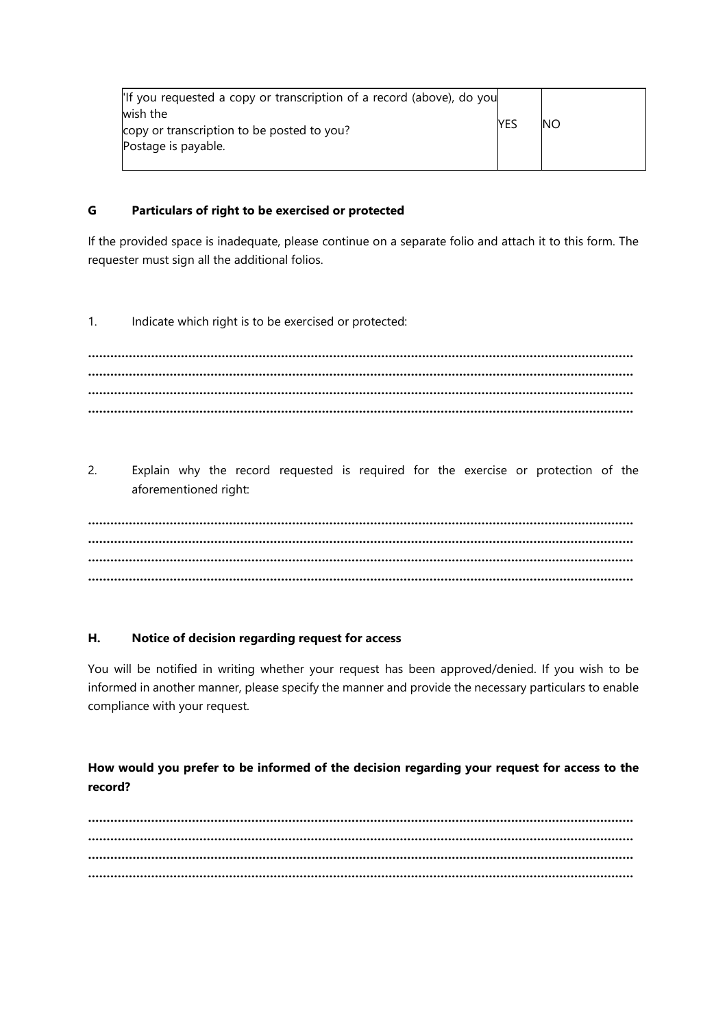| l'If you requested a copy or transcription of a record (above), do you<br>wish the |      | <b>NO</b> |
|------------------------------------------------------------------------------------|------|-----------|
| copy or transcription to be posted to you?                                         | YES. |           |
| Postage is payable.                                                                |      |           |
|                                                                                    |      |           |

### **G Particulars of right to be exercised or protected**

If the provided space is inadequate, please continue on a separate folio and attach it to this form. The requester must sign all the additional folios.

1. Indicate which right is to be exercised or protected:

**………………………………………………………………………………………………………………………………… ………………………………………………………………………………………………………………………………… ………………………………………………………………………………………………………………………………… …………………………………………………………………………………………………………………………………**

2. Explain why the record requested is required for the exercise or protection of the aforementioned right:

**………………………………………………………………………………………………………………………………… ………………………………………………………………………………………………………………………………… ………………………………………………………………………………………………………………………………… …………………………………………………………………………………………………………………………………**

#### **H. Notice of decision regarding request for access**

You will be notified in writing whether your request has been approved/denied. If you wish to be informed in another manner, please specify the manner and provide the necessary particulars to enable compliance with your request.

# **How would you prefer to be informed of the decision regarding your request for access to the record?**

**………………………………………………………………………………………………………………………………… ………………………………………………………………………………………………………………………………… ………………………………………………………………………………………………………………………………… …………………………………………………………………………………………………………………………………**